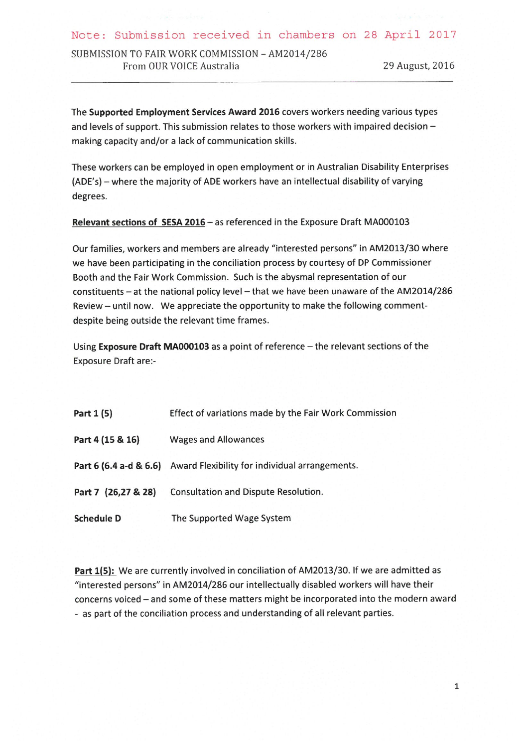Note: Submission received in chambers on 28 April 2017

SUBMISSION TO FAIR WORK COMMISSION - AM2014/286 From OUR VOICE Australia

29 August, 2016

The Supported Employment Services Award 2016 covers workers needing various types and levels of support. This submission relates to those workers with impaired decision making capacity and/or a lack of communication skills.

These workers can be employed in open employment or in Australian Disability Enterprises (ADE's) – where the majority of ADE workers have an intellectual disability of varying degrees.

Relevant sections of SESA 2016 - as referenced in the Exposure Draft MA000103

Our families, workers and members are already "interested persons" in AM2013/30 where we have been participating in the conciliation process by courtesy of DP Commissioner Booth and the Fair Work Commission. Such is the abysmal representation of our constituents - at the national policy level - that we have been unaware of the AM2014/286 Review - until now. We appreciate the opportunity to make the following commentdespite being outside the relevant time frames.

Using Exposure Draft MA000103 as a point of reference - the relevant sections of the **Exposure Draft are:-**

| Part 1 (5)          | Effect of variations made by the Fair Work Commission                 |
|---------------------|-----------------------------------------------------------------------|
| Part 4 (15 & 16)    | <b>Wages and Allowances</b>                                           |
|                     | Part 6 (6.4 a-d & 6.6) Award Flexibility for individual arrangements. |
| Part 7 (26,27 & 28) | <b>Consultation and Dispute Resolution.</b>                           |
| <b>Schedule D</b>   | The Supported Wage System                                             |

Part 1(5): We are currently involved in conciliation of AM2013/30. If we are admitted as "interested persons" in AM2014/286 our intellectually disabled workers will have their concerns voiced - and some of these matters might be incorporated into the modern award - as part of the conciliation process and understanding of all relevant parties.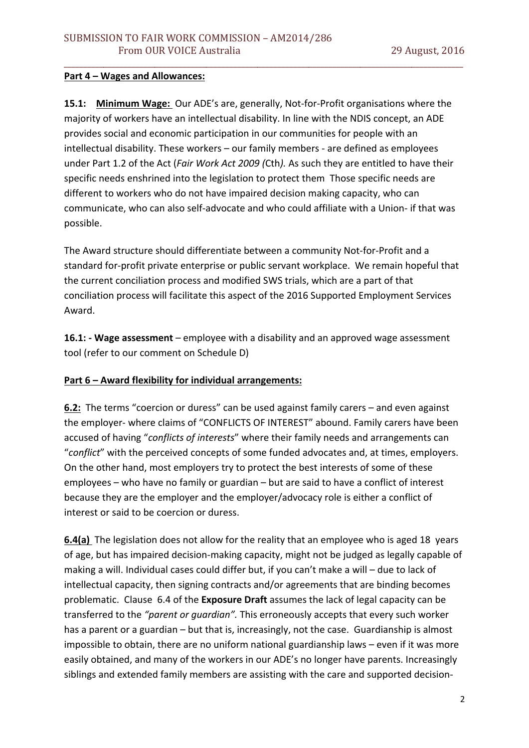#### Part 4 – Wages and Allowances:

**15.1: Minimum Wage:** Our ADE's are, generally, Not-for-Profit organisations where the majority of workers have an intellectual disability. In line with the NDIS concept, an ADE provides social and economic participation in our communities for people with an intellectual disability. These workers - our family members - are defined as employees under Part 1.2 of the Act (*Fair Work Act 2009 (Cth)*. As such they are entitled to have their specific needs enshrined into the legislation to protect them Those specific needs are different to workers who do not have impaired decision making capacity, who can communicate, who can also self-advocate and who could affiliate with a Union- if that was possible. 

\_\_\_\_\_\_\_\_\_\_\_\_\_\_\_\_\_\_\_\_\_\_\_\_\_\_\_\_\_\_\_\_\_\_\_\_\_\_\_\_\_\_\_\_\_\_\_\_\_\_\_\_\_\_\_\_\_\_\_\_\_\_\_\_\_\_\_\_\_\_\_\_\_\_\_\_\_\_\_\_\_\_\_\_\_\_\_\_\_\_\_\_\_\_\_\_\_\_\_\_\_

The Award structure should differentiate between a community Not-for-Profit and a standard for-profit private enterprise or public servant workplace. We remain hopeful that the current conciliation process and modified SWS trials, which are a part of that conciliation process will facilitate this aspect of the 2016 Supported Employment Services Award. 

**16.1:** - Wage assessment – employee with a disability and an approved wage assessment tool (refer to our comment on Schedule D)

### **Part 6 - Award flexibility for individual arrangements:**

**6.2:** The terms "coercion or duress" can be used against family carers – and even against the employer- where claims of "CONFLICTS OF INTEREST" abound. Family carers have been accused of having "conflicts of interests" where their family needs and arrangements can "conflict" with the perceived concepts of some funded advocates and, at times, employers. On the other hand, most employers try to protect the best interests of some of these employees – who have no family or guardian – but are said to have a conflict of interest because they are the employer and the employer/advocacy role is either a conflict of interest or said to be coercion or duress.

**6.4(a)** The legislation does not allow for the reality that an employee who is aged 18 years of age, but has impaired decision-making capacity, might not be judged as legally capable of making a will. Individual cases could differ but, if you can't make a will – due to lack of intellectual capacity, then signing contracts and/or agreements that are binding becomes problematic. Clause 6.4 of the **Exposure Draft** assumes the lack of legal capacity can be transferred to the "parent or guardian". This erroneously accepts that every such worker has a parent or a guardian  $-$  but that is, increasingly, not the case. Guardianship is almost impossible to obtain, there are no uniform national guardianship laws – even if it was more easily obtained, and many of the workers in our ADE's no longer have parents. Increasingly siblings and extended family members are assisting with the care and supported decision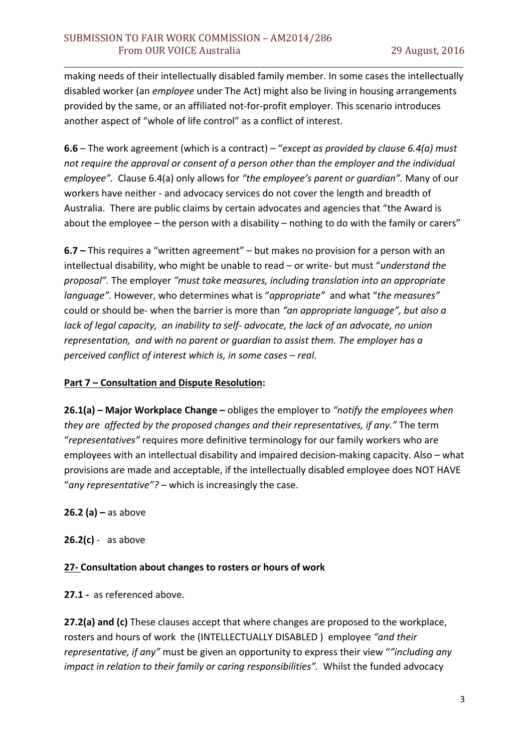making needs of their intellectually disabled family member. In some cases the intellectually disabled worker (an *employee* under The Act) might also be living in housing arrangements provided by the same, or an affiliated not-for-profit employer. This scenario introduces another aspect of "whole of life control" as a conflict of interest.

\_\_\_\_\_\_\_\_\_\_\_\_\_\_\_\_\_\_\_\_\_\_\_\_\_\_\_\_\_\_\_\_\_\_\_\_\_\_\_\_\_\_\_\_\_\_\_\_\_\_\_\_\_\_\_\_\_\_\_\_\_\_\_\_\_\_\_\_\_\_\_\_\_\_\_\_\_\_\_\_\_\_\_\_\_\_\_\_\_\_\_\_\_\_\_\_\_\_\_\_\_

**6.6** – The work agreement (which is a contract) – "*except as provided by clause 6.4(a)* must not require the approval or consent of a person other than the employer and the individual *employee".* Clause 6.4(a) only allows for "the employee's parent or quardian". Many of our workers have neither - and advocacy services do not cover the length and breadth of Australia. There are public claims by certain advocates and agencies that "the Award is about the employee  $-$  the person with a disability  $-$  nothing to do with the family or carers"

**6.7** – This requires a "written agreement" – but makes no provision for a person with an intellectual disability, who might be unable to read – or write- but must "understand the *proposal"*. The employer "must take measures, including translation into an appropriate *language"*. However, who determines what is "*appropriate"* and what "*the measures"* could or should be- when the barrier is more than "an appropriate language", but also a *lack* of legal capacity, an inability to self- advocate, the lack of an advocate, no union *representation, and with no parent or guardian to assist them. The employer has a perceived conflict of interest which is, in some cases – real.* 

#### **Part 7 - Consultation and Dispute Resolution:**

**26.1(a)** – Major Workplace Change – obliges the employer to "notify the employees when *they are affected by the proposed changes and their representatives, if any."* The term "representatives" requires more definitive terminology for our family workers who are employees with an intellectual disability and impaired decision-making capacity. Also – what provisions are made and acceptable, if the intellectually disabled employee does NOT HAVE "any representative"? - which is increasingly the case.

**26.2 (a)** – as above

 $26.2(c)$  - as above

### **27-** Consultation about changes to rosters or hours of work

**27.1** - as referenced above.

**27.2(a)** and (c) These clauses accept that where changes are proposed to the workplace, rosters and hours of work the (INTELLECTUALLY DISABLED) employee "and their *representative, if any"* must be given an opportunity to express their view ""including any *impact in relation to their family or caring responsibilities".* Whilst the funded advocacy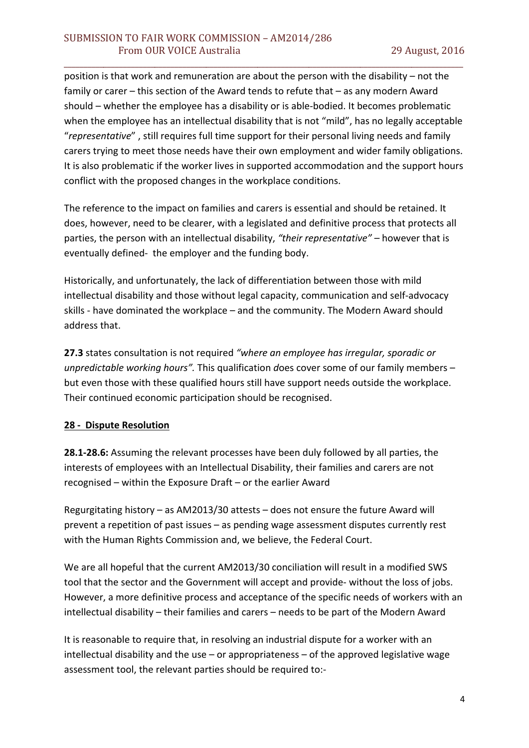position is that work and remuneration are about the person with the disability  $-$  not the family or carer  $-$  this section of the Award tends to refute that  $-$  as any modern Award should – whether the employee has a disability or is able-bodied. It becomes problematic when the employee has an intellectual disability that is not "mild", has no legally acceptable "*representative*", still requires full time support for their personal living needs and family carers trying to meet those needs have their own employment and wider family obligations. It is also problematic if the worker lives in supported accommodation and the support hours conflict with the proposed changes in the workplace conditions.

\_\_\_\_\_\_\_\_\_\_\_\_\_\_\_\_\_\_\_\_\_\_\_\_\_\_\_\_\_\_\_\_\_\_\_\_\_\_\_\_\_\_\_\_\_\_\_\_\_\_\_\_\_\_\_\_\_\_\_\_\_\_\_\_\_\_\_\_\_\_\_\_\_\_\_\_\_\_\_\_\_\_\_\_\_\_\_\_\_\_\_\_\_\_\_\_\_\_\_\_\_

The reference to the impact on families and carers is essential and should be retained. It does, however, need to be clearer, with a legislated and definitive process that protects all parties, the person with an intellectual disability, "their representative" – however that is eventually defined- the employer and the funding body.

Historically, and unfortunately, the lack of differentiation between those with mild intellectual disability and those without legal capacity, communication and self-advocacy skills - have dominated the workplace – and the community. The Modern Award should address that.

**27.3** states consultation is not required "where an employee has irregular, sporadic or unpredictable working hours". This qualification does cover some of our family members – but even those with these qualified hours still have support needs outside the workplace. Their continued economic participation should be recognised.

### **28 - Dispute Resolution**

**28.1-28.6:** Assuming the relevant processes have been duly followed by all parties, the interests of employees with an Intellectual Disability, their families and carers are not recognised – within the Exposure Draft – or the earlier Award

Regurgitating history  $-$  as AM2013/30 attests  $-$  does not ensure the future Award will prevent a repetition of past issues – as pending wage assessment disputes currently rest with the Human Rights Commission and, we believe, the Federal Court.

We are all hopeful that the current AM2013/30 conciliation will result in a modified SWS tool that the sector and the Government will accept and provide- without the loss of jobs. However, a more definitive process and acceptance of the specific needs of workers with an intellectual disability – their families and carers – needs to be part of the Modern Award

It is reasonable to require that, in resolving an industrial dispute for a worker with an intellectual disability and the use – or appropriateness – of the approved legislative wage assessment tool, the relevant parties should be required to:-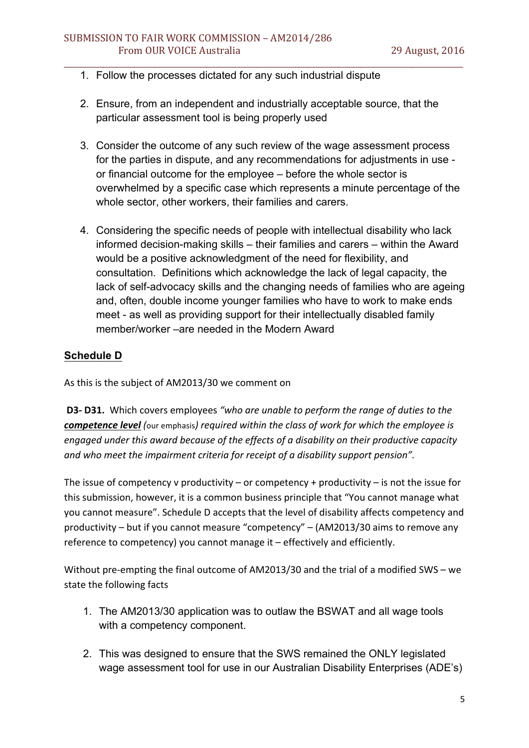# 1. Follow the processes dictated for any such industrial dispute

2. Ensure, from an independent and industrially acceptable source, that the particular assessment tool is being properly used

\_\_\_\_\_\_\_\_\_\_\_\_\_\_\_\_\_\_\_\_\_\_\_\_\_\_\_\_\_\_\_\_\_\_\_\_\_\_\_\_\_\_\_\_\_\_\_\_\_\_\_\_\_\_\_\_\_\_\_\_\_\_\_\_\_\_\_\_\_\_\_\_\_\_\_\_\_\_\_\_\_\_\_\_\_\_\_\_\_\_\_\_\_\_\_\_\_\_\_\_\_

- 3. Consider the outcome of any such review of the wage assessment process for the parties in dispute, and any recommendations for adjustments in use or financial outcome for the employee – before the whole sector is overwhelmed by a specific case which represents a minute percentage of the whole sector, other workers, their families and carers.
- 4. Considering the specific needs of people with intellectual disability who lack informed decision-making skills – their families and carers – within the Award would be a positive acknowledgment of the need for flexibility, and consultation. Definitions which acknowledge the lack of legal capacity, the lack of self-advocacy skills and the changing needs of families who are ageing and, often, double income younger families who have to work to make ends meet - as well as providing support for their intellectually disabled family member/worker –are needed in the Modern Award

## **Schedule D**

As this is the subject of AM2013/30 we comment on

**D3- D31.** Which covers employees "who are unable to perform the range of duties to the *competence level* (our emphasis) *required* within the class of work for which the employee is engaged under this award because of the effects of a disability on their productive capacity and who meet the impairment criteria for receipt of a disability support pension".

The issue of competency v productivity – or competency + productivity – is not the issue for this submission, however, it is a common business principle that "You cannot manage what you cannot measure". Schedule D accepts that the level of disability affects competency and productivity  $-$  but if you cannot measure "competency"  $-$  (AM2013/30 aims to remove any reference to competency) you cannot manage it - effectively and efficiently.

Without pre-empting the final outcome of AM2013/30 and the trial of a modified SWS – we state the following facts

- 1. The AM2013/30 application was to outlaw the BSWAT and all wage tools with a competency component.
- 2. This was designed to ensure that the SWS remained the ONLY legislated wage assessment tool for use in our Australian Disability Enterprises (ADE's)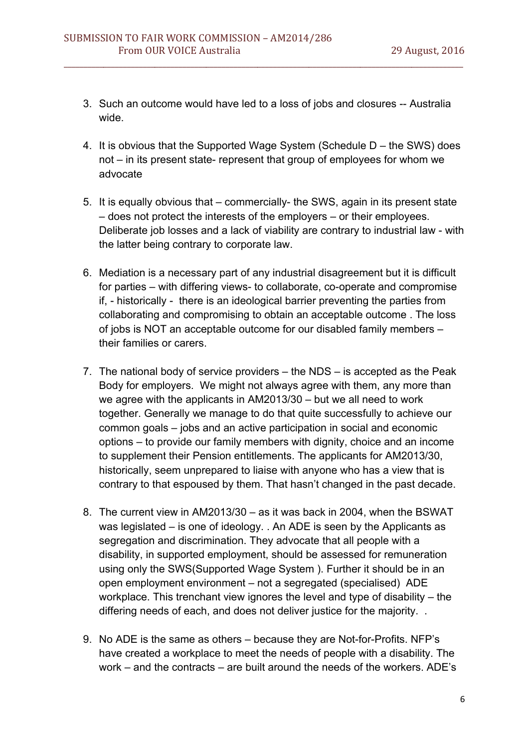3. Such an outcome would have led to a loss of jobs and closures -- Australia wide.

\_\_\_\_\_\_\_\_\_\_\_\_\_\_\_\_\_\_\_\_\_\_\_\_\_\_\_\_\_\_\_\_\_\_\_\_\_\_\_\_\_\_\_\_\_\_\_\_\_\_\_\_\_\_\_\_\_\_\_\_\_\_\_\_\_\_\_\_\_\_\_\_\_\_\_\_\_\_\_\_\_\_\_\_\_\_\_\_\_\_\_\_\_\_\_\_\_\_\_\_\_

- 4. It is obvious that the Supported Wage System (Schedule D the SWS) does not – in its present state- represent that group of employees for whom we advocate
- 5. It is equally obvious that commercially- the SWS, again in its present state – does not protect the interests of the employers – or their employees. Deliberate job losses and a lack of viability are contrary to industrial law - with the latter being contrary to corporate law.
- 6. Mediation is a necessary part of any industrial disagreement but it is difficult for parties – with differing views- to collaborate, co-operate and compromise if, - historically - there is an ideological barrier preventing the parties from collaborating and compromising to obtain an acceptable outcome . The loss of jobs is NOT an acceptable outcome for our disabled family members – their families or carers.
- 7. The national body of service providers the NDS is accepted as the Peak Body for employers. We might not always agree with them, any more than we agree with the applicants in AM2013/30 – but we all need to work together. Generally we manage to do that quite successfully to achieve our common goals – jobs and an active participation in social and economic options – to provide our family members with dignity, choice and an income to supplement their Pension entitlements. The applicants for AM2013/30, historically, seem unprepared to liaise with anyone who has a view that is contrary to that espoused by them. That hasn't changed in the past decade.
- 8. The current view in AM2013/30 as it was back in 2004, when the BSWAT was legislated – is one of ideology. . An ADE is seen by the Applicants as segregation and discrimination. They advocate that all people with a disability, in supported employment, should be assessed for remuneration using only the SWS(Supported Wage System ). Further it should be in an open employment environment – not a segregated (specialised) ADE workplace. This trenchant view ignores the level and type of disability – the differing needs of each, and does not deliver justice for the majority. .
- 9. No ADE is the same as others because they are Not-for-Profits. NFP's have created a workplace to meet the needs of people with a disability. The work – and the contracts – are built around the needs of the workers. ADE's